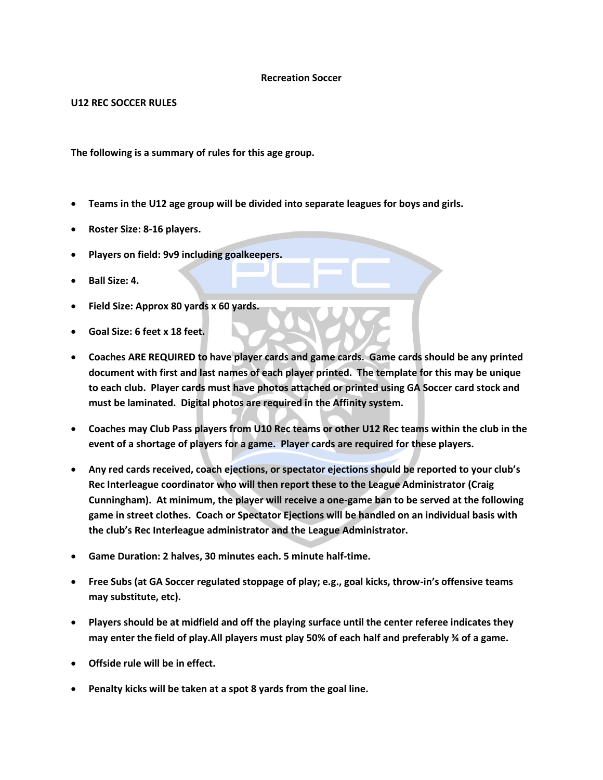## **Recreation Soccer**

## **U12 REC SOCCER RULES**

**The following is a summary of rules for this age group.** 

- **Teams in the U12 age group will be divided into separate leagues for boys and girls.**
- **Roster Size: 8-16 players.**
- **Players on field: 9v9 including goalkeepers.**
- **Ball Size: 4.**
- **Field Size: Approx 80 yards x 60 yards.**
- **Goal Size: 6 feet x 18 feet.**
- **Coaches ARE REQUIRED to have player cards and game cards. Game cards should be any printed document with first and last names of each player printed. The template for this may be unique to each club. Player cards must have photos attached or printed using GA Soccer card stock and must be laminated. Digital photos are required in the Affinity system.**
- **Coaches may Club Pass players from U10 Rec teams or other U12 Rec teams within the club in the event of a shortage of players for a game. Player cards are required for these players.**
- **Any red cards received, coach ejections, or spectator ejections should be reported to your club's Rec Interleague coordinator who will then report these to the League Administrator (Craig Cunningham). At minimum, the player will receive a one-game ban to be served at the following game in street clothes. Coach or Spectator Ejections will be handled on an individual basis with the club's Rec Interleague administrator and the League Administrator.**
- **Game Duration: 2 halves, 30 minutes each. 5 minute half-time.**
- **Free Subs (at GA Soccer regulated stoppage of play; e.g., goal kicks, throw-in's offensive teams may substitute, etc).**
- **Players should be at midfield and off the playing surface until the center referee indicates they may enter the field of play.All players must play 50% of each half and preferably ¾ of a game.**
- **Offside rule will be in effect.**
- **Penalty kicks will be taken at a spot 8 yards from the goal line.**